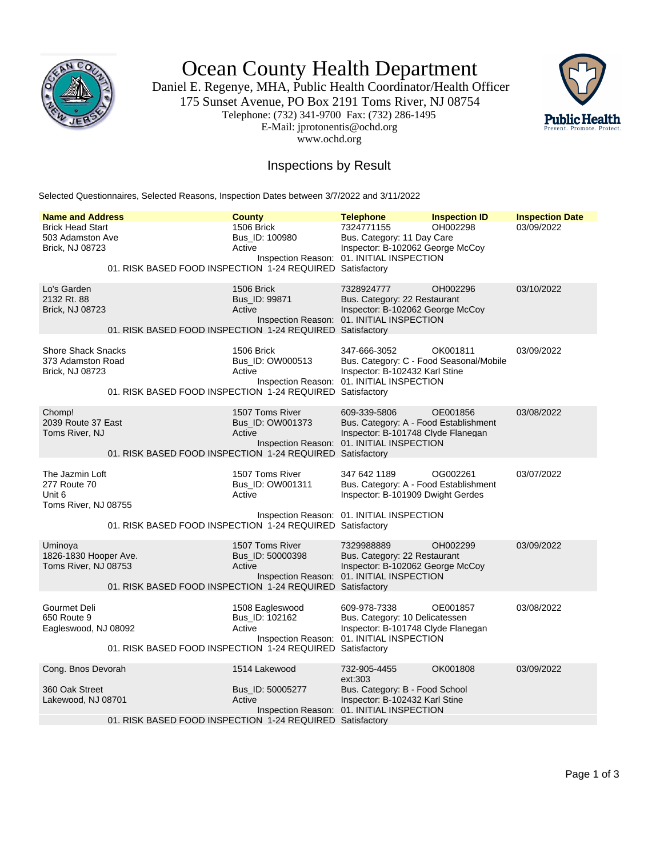

Ocean County Health Department

Daniel E. Regenye, MHA, Public Health Coordinator/Health Officer 175 Sunset Avenue, PO Box 2191 Toms River, NJ 08754 Telephone: (732) 341-9700 Fax: (732) 286-1495 E-Mail: jprotonentis@ochd.org www.ochd.org



## Inspections by Result

Selected Questionnaires, Selected Reasons, Inspection Dates between 3/7/2022 and 3/11/2022

| <b>Name and Address</b>                                                  |                                                           | <b>County</b>                                 | <b>Telephone</b>                                                                                                                       | <b>Inspection ID</b> | <b>Inspection Date</b> |
|--------------------------------------------------------------------------|-----------------------------------------------------------|-----------------------------------------------|----------------------------------------------------------------------------------------------------------------------------------------|----------------------|------------------------|
| <b>Brick Head Start</b><br>503 Adamston Ave<br>Brick, NJ 08723           | 01. RISK BASED FOOD INSPECTION 1-24 REQUIRED Satisfactory | 1506 Brick<br>Bus ID: 100980<br>Active        | 7324771155<br>Bus. Category: 11 Day Care<br>Inspector: B-102062 George McCoy<br>Inspection Reason: 01. INITIAL INSPECTION              | OH002298             | 03/09/2022             |
| Lo's Garden                                                              |                                                           | 1506 Brick                                    | 7328924777                                                                                                                             | OH002296             | 03/10/2022             |
| 2132 Rt. 88<br><b>Brick, NJ 08723</b>                                    | 01. RISK BASED FOOD INSPECTION 1-24 REQUIRED Satisfactory | Bus_ID: 99871<br>Active                       | Bus. Category: 22 Restaurant<br>Inspector: B-102062 George McCoy<br>Inspection Reason: 01. INITIAL INSPECTION                          |                      |                        |
|                                                                          |                                                           |                                               |                                                                                                                                        |                      |                        |
| <b>Shore Shack Snacks</b><br>373 Adamston Road<br><b>Brick, NJ 08723</b> | 01. RISK BASED FOOD INSPECTION 1-24 REQUIRED Satisfactory | 1506 Brick<br>Bus_ID: OW000513<br>Active      | 347-666-3052<br>Bus. Category: C - Food Seasonal/Mobile<br>Inspector: B-102432 Karl Stine<br>Inspection Reason: 01. INITIAL INSPECTION | OK001811             | 03/09/2022             |
| Chomp!                                                                   |                                                           | 1507 Toms River                               | 609-339-5806                                                                                                                           | OE001856             | 03/08/2022             |
| 2039 Route 37 East<br>Toms River, NJ                                     | 01. RISK BASED FOOD INSPECTION 1-24 REQUIRED Satisfactory | Bus_ID: OW001373<br>Active                    | Bus. Category: A - Food Establishment<br>Inspector: B-101748 Clyde Flanegan<br>Inspection Reason: 01. INITIAL INSPECTION               |                      |                        |
|                                                                          |                                                           |                                               |                                                                                                                                        |                      |                        |
| The Jazmin Loft<br>277 Route 70<br>Unit 6<br>Toms River, NJ 08755        |                                                           | 1507 Toms River<br>Bus_ID: OW001311<br>Active | 347 642 1189<br>Bus. Category: A - Food Establishment<br>Inspector: B-101909 Dwight Gerdes                                             | OG002261             | 03/07/2022             |
|                                                                          | 01. RISK BASED FOOD INSPECTION 1-24 REQUIRED Satisfactory |                                               | Inspection Reason: 01. INITIAL INSPECTION                                                                                              |                      |                        |
| Uminova<br>1826-1830 Hooper Ave.<br>Toms River, NJ 08753                 |                                                           | 1507 Toms River<br>Bus_ID: 50000398<br>Active | 7329988889<br>Bus. Category: 22 Restaurant<br>Inspector: B-102062 George McCoy<br>Inspection Reason: 01. INITIAL INSPECTION            | OH002299             | 03/09/2022             |
|                                                                          | 01. RISK BASED FOOD INSPECTION 1-24 REQUIRED Satisfactory |                                               |                                                                                                                                        |                      |                        |
| Gourmet Deli<br>650 Route 9<br>Eagleswood, NJ 08092                      |                                                           | 1508 Eagleswood<br>Bus_ID: 102162<br>Active   | 609-978-7338<br>Bus. Category: 10 Delicatessen<br>Inspector: B-101748 Clyde Flanegan<br>Inspection Reason: 01. INITIAL INSPECTION      | OE001857             | 03/08/2022             |
|                                                                          | 01. RISK BASED FOOD INSPECTION 1-24 REQUIRED Satisfactory |                                               |                                                                                                                                        |                      |                        |
| Cong. Bnos Devorah                                                       |                                                           | 1514 Lakewood                                 | 732-905-4455<br>ext:303                                                                                                                | OK001808             | 03/09/2022             |
| 360 Oak Street<br>Lakewood, NJ 08701                                     |                                                           | Bus_ID: 50005277<br>Active                    | Bus. Category: B - Food School<br>Inspector: B-102432 Karl Stine<br>Inspection Reason: 01. INITIAL INSPECTION                          |                      |                        |
|                                                                          | 01. RISK BASED FOOD INSPECTION 1-24 REQUIRED Satisfactory |                                               |                                                                                                                                        |                      |                        |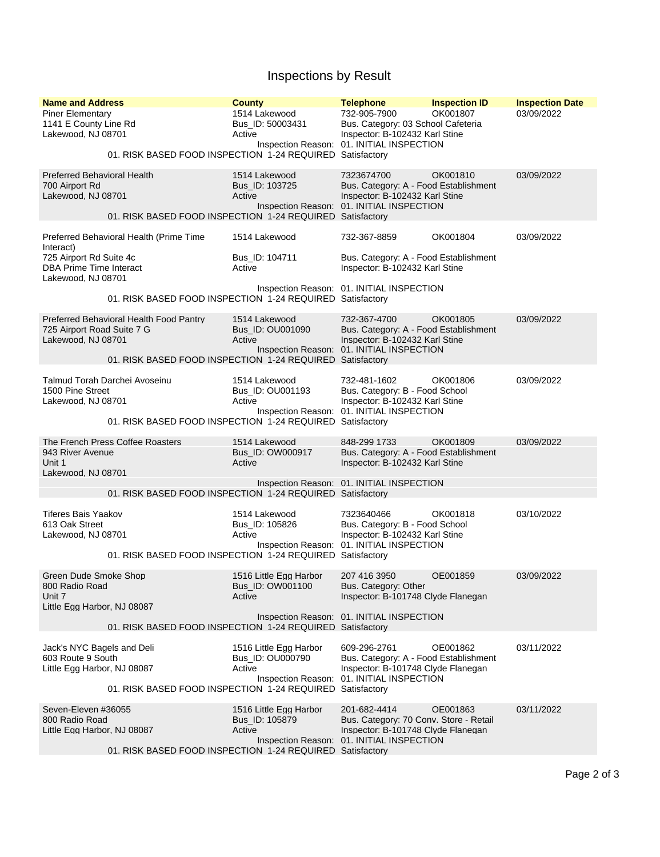## Inspections by Result

| <b>Name and Address</b>                                                                            | <b>County</b>                                                                                          | <b>Telephone</b>                                                                                                                     | <b>Inspection ID</b> | <b>Inspection Date</b> |  |  |
|----------------------------------------------------------------------------------------------------|--------------------------------------------------------------------------------------------------------|--------------------------------------------------------------------------------------------------------------------------------------|----------------------|------------------------|--|--|
| <b>Piner Elementary</b><br>1141 E County Line Rd<br>Lakewood, NJ 08701                             | 1514 Lakewood<br>Bus ID: 50003431<br>Active                                                            | 732-905-7900<br>Bus. Category: 03 School Cafeteria<br>Inspector: B-102432 Karl Stine<br>Inspection Reason: 01. INITIAL INSPECTION    | OK001807             | 03/09/2022             |  |  |
|                                                                                                    | 01. RISK BASED FOOD INSPECTION 1-24 REQUIRED Satisfactory                                              |                                                                                                                                      |                      |                        |  |  |
| <b>Preferred Behavioral Health</b><br>700 Airport Rd<br>Lakewood, NJ 08701                         | 1514 Lakewood<br>Bus_ID: 103725<br>Active                                                              | 7323674700<br>Bus. Category: A - Food Establishment<br>Inspector: B-102432 Karl Stine<br>Inspection Reason: 01. INITIAL INSPECTION   | OK001810             | 03/09/2022             |  |  |
|                                                                                                    | 01. RISK BASED FOOD INSPECTION 1-24 REQUIRED Satisfactory                                              |                                                                                                                                      |                      |                        |  |  |
| Preferred Behavioral Health (Prime Time<br>Interact)<br>725 Airport Rd Suite 4c                    | 1514 Lakewood<br>Bus_ID: 104711                                                                        | 732-367-8859<br>Bus. Category: A - Food Establishment                                                                                | OK001804             | 03/09/2022             |  |  |
| DBA Prime Time Interact<br>Lakewood, NJ 08701                                                      | Active                                                                                                 | Inspector: B-102432 Karl Stine                                                                                                       |                      |                        |  |  |
|                                                                                                    | 01. RISK BASED FOOD INSPECTION 1-24 REQUIRED Satisfactory                                              | Inspection Reason: 01. INITIAL INSPECTION                                                                                            |                      |                        |  |  |
| <b>Preferred Behavioral Health Food Pantry</b><br>725 Airport Road Suite 7 G<br>Lakewood, NJ 08701 | 1514 Lakewood<br>Bus_ID: OU001090<br>Active                                                            | 732-367-4700<br>Bus. Category: A - Food Establishment<br>Inspector: B-102432 Karl Stine<br>Inspection Reason: 01. INITIAL INSPECTION | OK001805             | 03/09/2022             |  |  |
|                                                                                                    | 01. RISK BASED FOOD INSPECTION 1-24 REQUIRED Satisfactory                                              |                                                                                                                                      |                      |                        |  |  |
| Talmud Torah Darchei Avoseinu<br>1500 Pine Street<br>Lakewood, NJ 08701                            | 1514 Lakewood<br>Bus_ID: OU001193<br>Active                                                            | 732-481-1602<br>Bus. Category: B - Food School<br>Inspector: B-102432 Karl Stine<br>Inspection Reason: 01. INITIAL INSPECTION        | OK001806             | 03/09/2022             |  |  |
|                                                                                                    | 01. RISK BASED FOOD INSPECTION 1-24 REQUIRED Satisfactory                                              |                                                                                                                                      |                      |                        |  |  |
| The French Press Coffee Roasters<br>943 River Avenue<br>Unit 1<br>Lakewood, NJ 08701               | 1514 Lakewood<br>Bus_ID: OW000917<br>Active                                                            | 848-299 1733<br>Bus. Category: A - Food Establishment<br>Inspector: B-102432 Karl Stine                                              | OK001809             | 03/09/2022             |  |  |
| 01. RISK BASED FOOD INSPECTION 1-24 REQUIRED Satisfactory                                          | Inspection Reason: 01. INITIAL INSPECTION                                                              |                                                                                                                                      |                      |                        |  |  |
| <b>Tiferes Bais Yaakov</b><br>613 Oak Street<br>Lakewood, NJ 08701                                 | 1514 Lakewood<br>Bus_ID: 105826<br>Active                                                              | 7323640466<br>Bus. Category: B - Food School<br>Inspector: B-102432 Karl Stine<br>Inspection Reason: 01. INITIAL INSPECTION          | OK001818             | 03/10/2022             |  |  |
|                                                                                                    | 01. RISK BASED FOOD INSPECTION 1-24 REQUIRED Satisfactory                                              |                                                                                                                                      |                      |                        |  |  |
| Green Dude Smoke Shop<br>800 Radio Road<br>Unit 7                                                  | 1516 Little Egg Harbor<br>Bus_ID: OW001100<br>Active                                                   | 207 416 3950<br>Bus. Category: Other<br>Inspector: B-101748 Clyde Flanegan                                                           | OE001859             | 03/09/2022             |  |  |
| Little Egg Harbor, NJ 08087                                                                        | 01. RISK BASED FOOD INSPECTION 1-24 REQUIRED Satisfactory                                              | Inspection Reason: 01. INITIAL INSPECTION                                                                                            |                      |                        |  |  |
| Jack's NYC Bagels and Deli                                                                         | 1516 Little Egg Harbor                                                                                 | 609-296-2761                                                                                                                         | OE001862             | 03/11/2022             |  |  |
| 603 Route 9 South<br>Little Egg Harbor, NJ 08087                                                   | Bus ID: OU000790<br>Active                                                                             | Bus. Category: A - Food Establishment<br>Inspector: B-101748 Clyde Flanegan<br>Inspection Reason: 01. INITIAL INSPECTION             |                      |                        |  |  |
|                                                                                                    | 01. RISK BASED FOOD INSPECTION 1-24 REQUIRED Satisfactory                                              |                                                                                                                                      |                      |                        |  |  |
| Seven-Eleven #36055<br>800 Radio Road<br>Little Egg Harbor, NJ 08087                               | 1516 Little Egg Harbor<br>Bus_ID: 105879<br>Active                                                     | 201-682-4414<br>Bus. Category: 70 Conv. Store - Retail<br>Inspector: B-101748 Clyde Flanegan                                         | OE001863             | 03/11/2022             |  |  |
|                                                                                                    | Inspection Reason: 01. INITIAL INSPECTION<br>01. RISK BASED FOOD INSPECTION 1-24 REQUIRED Satisfactory |                                                                                                                                      |                      |                        |  |  |